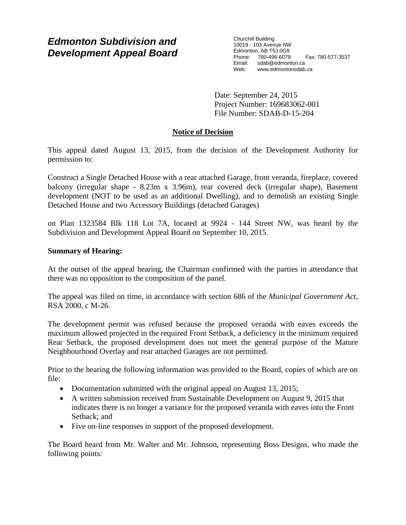# *Edmonton Subdivision and Development Appeal Board*

Churchill Building 10019 - 103 Avenue NW Edmonton, AB T5J 0G9 Phone: 780-496-6079 Fax: 780-577-3537 Email: sdab@edmonton.ca<br>Web: www.edmonton.ca Web: www.edmontonsdab.ca

Date: September 24, 2015 Project Number: 169683062-001 File Number: SDAB-D-15-204

## **Notice of Decision**

This appeal dated August 13, 2015, from the decision of the Development Authority for permission to:

Construct a Single Detached House with a rear attached Garage, front veranda, fireplace, covered balcony (irregular shape - 8.23m x 3.96m), rear covered deck (irregular shape), Basement development (NOT to be used as an additional Dwelling), and to demolish an existing Single Detached House and two Accessory Buildings (detached Garages)

on Plan 1323584 Blk 118 Lot 7A, located at 9924 - 144 Street NW, was heard by the Subdivision and Development Appeal Board on September 10, 2015.

### **Summary of Hearing:**

At the outset of the appeal hearing, the Chairman confirmed with the parties in attendance that there was no opposition to the composition of the panel.

The appeal was filed on time, in accordance with section 686 of the *Municipal Government Act*, RSA 2000, c M-26.

The development permit was refused because the proposed veranda with eaves exceeds the maximum allowed projected in the required Front Setback, a deficiency in the minimum required Rear Setback, the proposed development does not meet the general purpose of the Mature Neighbourhood Overlay and rear attached Garages are not permitted.

Prior to the hearing the following information was provided to the Board, copies of which are on file:

- Documentation submitted with the original appeal on August 13, 2015;
- A written submission received from Sustainable Development on August 9, 2015 that indicates there is no longer a variance for the proposed veranda with eaves into the Front Setback; and
- Five on-line responses in support of the proposed development.

The Board heard from Mr. Walter and Mr. Johnson, representing Boss Designs, who made the following points: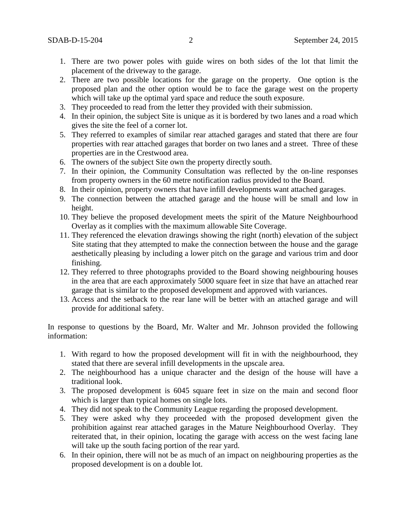- 1. There are two power poles with guide wires on both sides of the lot that limit the placement of the driveway to the garage.
- 2. There are two possible locations for the garage on the property. One option is the proposed plan and the other option would be to face the garage west on the property which will take up the optimal yard space and reduce the south exposure.
- 3. They proceeded to read from the letter they provided with their submission.
- 4. In their opinion, the subject Site is unique as it is bordered by two lanes and a road which gives the site the feel of a corner lot.
- 5. They referred to examples of similar rear attached garages and stated that there are four properties with rear attached garages that border on two lanes and a street. Three of these properties are in the Crestwood area.
- 6. The owners of the subject Site own the property directly south.
- 7. In their opinion, the Community Consultation was reflected by the on-line responses from property owners in the 60 metre notification radius provided to the Board.
- 8. In their opinion, property owners that have infill developments want attached garages.
- 9. The connection between the attached garage and the house will be small and low in height.
- 10. They believe the proposed development meets the spirit of the Mature Neighbourhood Overlay as it complies with the maximum allowable Site Coverage.
- 11. They referenced the elevation drawings showing the right (north) elevation of the subject Site stating that they attempted to make the connection between the house and the garage aesthetically pleasing by including a lower pitch on the garage and various trim and door finishing.
- 12. They referred to three photographs provided to the Board showing neighbouring houses in the area that are each approximately 5000 square feet in size that have an attached rear garage that is similar to the proposed development and approved with variances.
- 13. Access and the setback to the rear lane will be better with an attached garage and will provide for additional safety.

In response to questions by the Board, Mr. Walter and Mr. Johnson provided the following information:

- 1. With regard to how the proposed development will fit in with the neighbourhood, they stated that there are several infill developments in the upscale area.
- 2. The neighbourhood has a unique character and the design of the house will have a traditional look.
- 3. The proposed development is 6045 square feet in size on the main and second floor which is larger than typical homes on single lots.
- 4. They did not speak to the Community League regarding the proposed development.
- 5. They were asked why they proceeded with the proposed development given the prohibition against rear attached garages in the Mature Neighbourhood Overlay. They reiterated that, in their opinion, locating the garage with access on the west facing lane will take up the south facing portion of the rear yard.
- 6. In their opinion, there will not be as much of an impact on neighbouring properties as the proposed development is on a double lot.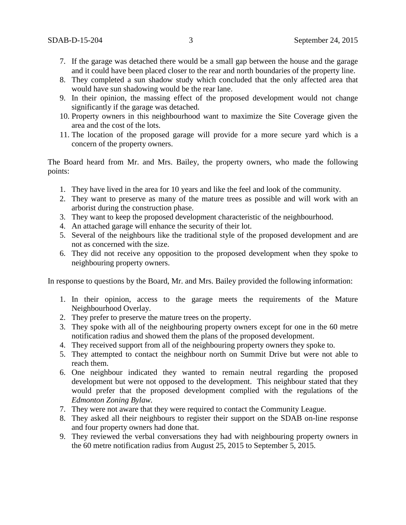- 7. If the garage was detached there would be a small gap between the house and the garage and it could have been placed closer to the rear and north boundaries of the property line.
- 8. They completed a sun shadow study which concluded that the only affected area that would have sun shadowing would be the rear lane.
- 9. In their opinion, the massing effect of the proposed development would not change significantly if the garage was detached.
- 10. Property owners in this neighbourhood want to maximize the Site Coverage given the area and the cost of the lots.
- 11. The location of the proposed garage will provide for a more secure yard which is a concern of the property owners.

The Board heard from Mr. and Mrs. Bailey, the property owners, who made the following points:

- 1. They have lived in the area for 10 years and like the feel and look of the community.
- 2. They want to preserve as many of the mature trees as possible and will work with an arborist during the construction phase.
- 3. They want to keep the proposed development characteristic of the neighbourhood.
- 4. An attached garage will enhance the security of their lot.
- 5. Several of the neighbours like the traditional style of the proposed development and are not as concerned with the size.
- 6. They did not receive any opposition to the proposed development when they spoke to neighbouring property owners.

In response to questions by the Board, Mr. and Mrs. Bailey provided the following information:

- 1. In their opinion, access to the garage meets the requirements of the Mature Neighbourhood Overlay.
- 2. They prefer to preserve the mature trees on the property.
- 3. They spoke with all of the neighbouring property owners except for one in the 60 metre notification radius and showed them the plans of the proposed development.
- 4. They received support from all of the neighbouring property owners they spoke to.
- 5. They attempted to contact the neighbour north on Summit Drive but were not able to reach them.
- 6. One neighbour indicated they wanted to remain neutral regarding the proposed development but were not opposed to the development. This neighbour stated that they would prefer that the proposed development complied with the regulations of the *Edmonton Zoning Bylaw.*
- 7. They were not aware that they were required to contact the Community League.
- 8. They asked all their neighbours to register their support on the SDAB on-line response and four property owners had done that.
- 9. They reviewed the verbal conversations they had with neighbouring property owners in the 60 metre notification radius from August 25, 2015 to September 5, 2015.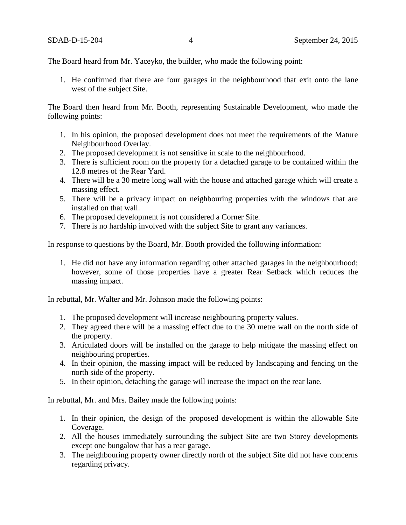The Board heard from Mr. Yaceyko, the builder, who made the following point:

1. He confirmed that there are four garages in the neighbourhood that exit onto the lane west of the subject Site.

The Board then heard from Mr. Booth, representing Sustainable Development, who made the following points:

- 1. In his opinion, the proposed development does not meet the requirements of the Mature Neighbourhood Overlay.
- 2. The proposed development is not sensitive in scale to the neighbourhood.
- 3. There is sufficient room on the property for a detached garage to be contained within the 12.8 metres of the Rear Yard.
- 4. There will be a 30 metre long wall with the house and attached garage which will create a massing effect.
- 5. There will be a privacy impact on neighbouring properties with the windows that are installed on that wall.
- 6. The proposed development is not considered a Corner Site.
- 7. There is no hardship involved with the subject Site to grant any variances.

In response to questions by the Board, Mr. Booth provided the following information:

1. He did not have any information regarding other attached garages in the neighbourhood; however, some of those properties have a greater Rear Setback which reduces the massing impact.

In rebuttal, Mr. Walter and Mr. Johnson made the following points:

- 1. The proposed development will increase neighbouring property values.
- 2. They agreed there will be a massing effect due to the 30 metre wall on the north side of the property.
- 3. Articulated doors will be installed on the garage to help mitigate the massing effect on neighbouring properties.
- 4. In their opinion, the massing impact will be reduced by landscaping and fencing on the north side of the property.
- 5. In their opinion, detaching the garage will increase the impact on the rear lane.

In rebuttal, Mr. and Mrs. Bailey made the following points:

- 1. In their opinion, the design of the proposed development is within the allowable Site Coverage.
- 2. All the houses immediately surrounding the subject Site are two Storey developments except one bungalow that has a rear garage.
- 3. The neighbouring property owner directly north of the subject Site did not have concerns regarding privacy.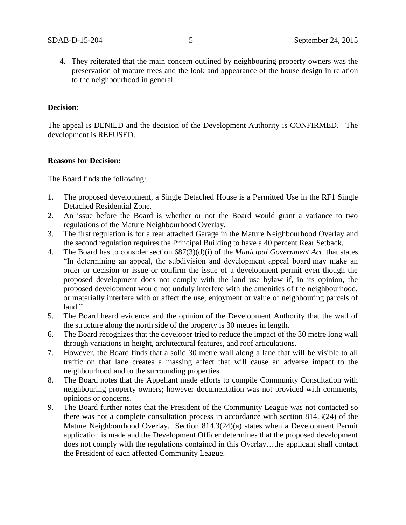4. They reiterated that the main concern outlined by neighbouring property owners was the preservation of mature trees and the look and appearance of the house design in relation to the neighbourhood in general.

#### **Decision:**

The appeal is DENIED and the decision of the Development Authority is CONFIRMED. The development is REFUSED.

#### **Reasons for Decision:**

The Board finds the following:

- 1. The proposed development, a Single Detached House is a Permitted Use in the RF1 Single Detached Residential Zone.
- 2. An issue before the Board is whether or not the Board would grant a variance to two regulations of the Mature Neighbourhood Overlay.
- 3. The first regulation is for a rear attached Garage in the Mature Neighbourhood Overlay and the second regulation requires the Principal Building to have a 40 percent Rear Setback.
- 4. The Board has to consider section 687(3)(d)(i) of the *Municipal Government Act* that states "In determining an appeal, the subdivision and development appeal board may make an order or decision or issue or confirm the issue of a development permit even though the proposed development does not comply with the land use bylaw if, in its opinion, the proposed development would not unduly interfere with the amenities of the neighbourhood, or materially interfere with or affect the use, enjoyment or value of neighbouring parcels of land."
- 5. The Board heard evidence and the opinion of the Development Authority that the wall of the structure along the north side of the property is 30 metres in length.
- 6. The Board recognizes that the developer tried to reduce the impact of the 30 metre long wall through variations in height, architectural features, and roof articulations.
- 7. However, the Board finds that a solid 30 metre wall along a lane that will be visible to all traffic on that lane creates a massing effect that will cause an adverse impact to the neighbourhood and to the surrounding properties.
- 8. The Board notes that the Appellant made efforts to compile Community Consultation with neighbouring property owners; however documentation was not provided with comments, opinions or concerns.
- 9. The Board further notes that the President of the Community League was not contacted so there was not a complete consultation process in accordance with section 814.3(24) of the Mature Neighbourhood Overlay. Section 814.3(24)(a) states when a Development Permit application is made and the Development Officer determines that the proposed development does not comply with the regulations contained in this Overlay…the applicant shall contact the President of each affected Community League.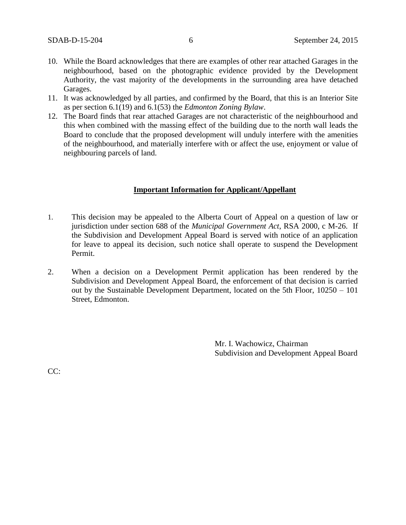- 10. While the Board acknowledges that there are examples of other rear attached Garages in the neighbourhood, based on the photographic evidence provided by the Development Authority, the vast majority of the developments in the surrounding area have detached Garages.
- 11. It was acknowledged by all parties, and confirmed by the Board, that this is an Interior Site as per section 6.1(19) and 6.1(53) the *Edmonton Zoning Bylaw*.
- 12. The Board finds that rear attached Garages are not characteristic of the neighbourhood and this when combined with the massing effect of the building due to the north wall leads the Board to conclude that the proposed development will unduly interfere with the amenities of the neighbourhood, and materially interfere with or affect the use, enjoyment or value of neighbouring parcels of land.

#### **Important Information for Applicant/Appellant**

- 1. This decision may be appealed to the Alberta Court of Appeal on a question of law or jurisdiction under section 688 of the *Municipal Government Act*, RSA 2000, c M-26. If the Subdivision and Development Appeal Board is served with notice of an application for leave to appeal its decision, such notice shall operate to suspend the Development Permit.
- 2. When a decision on a Development Permit application has been rendered by the Subdivision and Development Appeal Board, the enforcement of that decision is carried out by the Sustainable Development Department, located on the 5th Floor, 10250 – 101 Street, Edmonton.

Mr. I. Wachowicz, Chairman Subdivision and Development Appeal Board

CC: